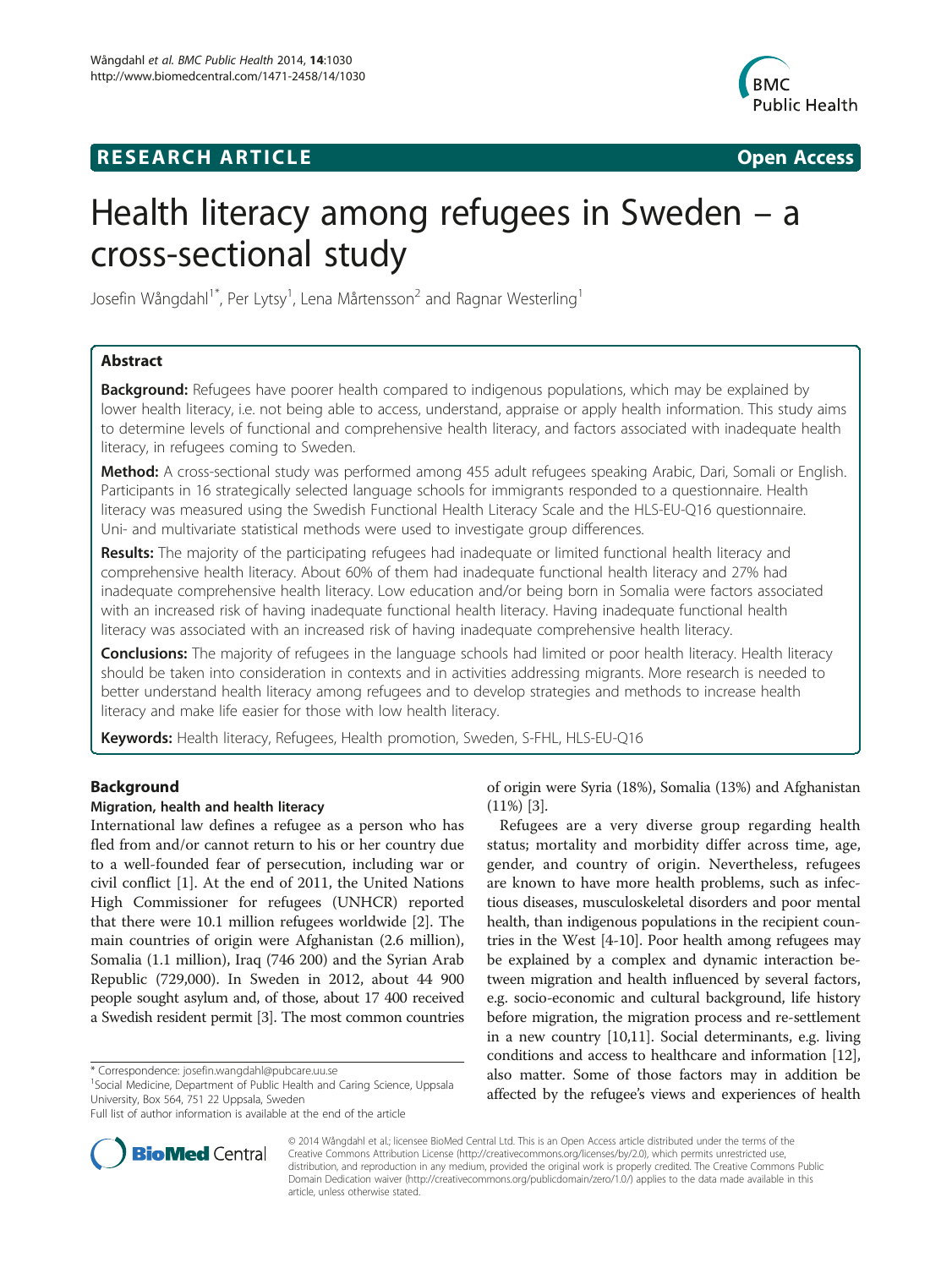## **RESEARCH ARTICLE Example 2014 CONSIDERING CONSIDERING CONSIDERING CONSIDERING CONSIDERING CONSIDERING CONSIDERING CONSIDERING CONSIDERING CONSIDERING CONSIDERING CONSIDERING CONSIDERING CONSIDERING CONSIDERING CONSIDE**



# Health literacy among refugees in Sweden – a cross-sectional study

Josefin Wångdahl<sup>1\*</sup>, Per Lytsy<sup>1</sup>, Lena Mårtensson<sup>2</sup> and Ragnar Westerling<sup>1</sup>

## Abstract

Background: Refugees have poorer health compared to indigenous populations, which may be explained by lower health literacy, i.e. not being able to access, understand, appraise or apply health information. This study aims to determine levels of functional and comprehensive health literacy, and factors associated with inadequate health literacy, in refugees coming to Sweden.

Method: A cross-sectional study was performed among 455 adult refugees speaking Arabic, Dari, Somali or English. Participants in 16 strategically selected language schools for immigrants responded to a questionnaire. Health literacy was measured using the Swedish Functional Health Literacy Scale and the HLS-EU-Q16 questionnaire. Uni- and multivariate statistical methods were used to investigate group differences.

Results: The majority of the participating refugees had inadequate or limited functional health literacy and comprehensive health literacy. About 60% of them had inadequate functional health literacy and 27% had inadequate comprehensive health literacy. Low education and/or being born in Somalia were factors associated with an increased risk of having inadequate functional health literacy. Having inadequate functional health literacy was associated with an increased risk of having inadequate comprehensive health literacy.

Conclusions: The majority of refugees in the language schools had limited or poor health literacy. Health literacy should be taken into consideration in contexts and in activities addressing migrants. More research is needed to better understand health literacy among refugees and to develop strategies and methods to increase health literacy and make life easier for those with low health literacy.

Keywords: Health literacy, Refugees, Health promotion, Sweden, S-FHL, HLS-EU-Q16

## Background

## Migration, health and health literacy

International law defines a refugee as a person who has fled from and/or cannot return to his or her country due to a well-founded fear of persecution, including war or civil conflict [\[1](#page-9-0)]. At the end of 2011, the United Nations High Commissioner for refugees (UNHCR) reported that there were 10.1 million refugees worldwide [[2\]](#page-9-0). The main countries of origin were Afghanistan (2.6 million), Somalia (1.1 million), Iraq (746 200) and the Syrian Arab Republic (729,000). In Sweden in 2012, about 44 900 people sought asylum and, of those, about 17 400 received a Swedish resident permit [[3](#page-9-0)]. The most common countries



Refugees are a very diverse group regarding health status; mortality and morbidity differ across time, age, gender, and country of origin. Nevertheless, refugees are known to have more health problems, such as infectious diseases, musculoskeletal disorders and poor mental health, than indigenous populations in the recipient countries in the West [\[4-10\]](#page-9-0). Poor health among refugees may be explained by a complex and dynamic interaction between migration and health influenced by several factors, e.g. socio-economic and cultural background, life history before migration, the migration process and re-settlement in a new country [[10,](#page-9-0)[11](#page-10-0)]. Social determinants, e.g. living conditions and access to healthcare and information [[12](#page-10-0)], also matter. Some of those factors may in addition be affected by the refugee's views and experiences of health



© 2014 Wångdahl et al.; licensee BioMed Central Ltd. This is an Open Access article distributed under the terms of the Creative Commons Attribution License (<http://creativecommons.org/licenses/by/2.0>), which permits unrestricted use, distribution, and reproduction in any medium, provided the original work is properly credited. The Creative Commons Public Domain Dedication waiver [\(http://creativecommons.org/publicdomain/zero/1.0/\)](http://creativecommons.org/publicdomain/zero/1.0/) applies to the data made available in this article, unless otherwise stated.

<sup>\*</sup> Correspondence: [josefin.wangdahl@pubcare.uu.se](mailto:josefin.wangdahl@pubcare.uu.se) <sup>1</sup>

<sup>&</sup>lt;sup>1</sup>Social Medicine, Department of Public Health and Caring Science, Uppsala University, Box 564, 751 22 Uppsala, Sweden

Full list of author information is available at the end of the article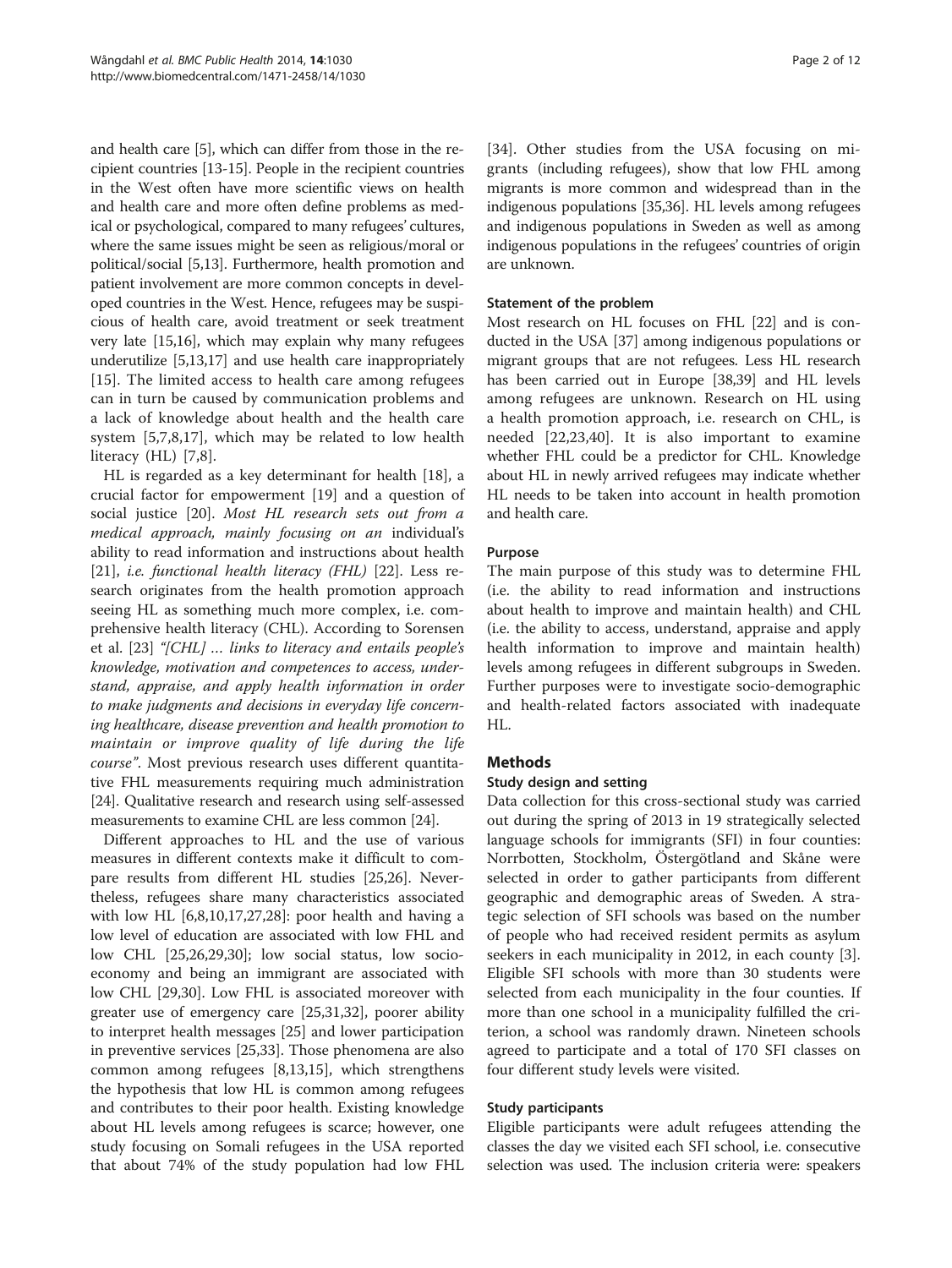and health care [[5\]](#page-9-0), which can differ from those in the recipient countries [\[13](#page-10-0)-[15](#page-10-0)]. People in the recipient countries in the West often have more scientific views on health and health care and more often define problems as medical or psychological, compared to many refugees' cultures, where the same issues might be seen as religious/moral or political/social [\[5](#page-9-0)[,13](#page-10-0)]. Furthermore, health promotion and patient involvement are more common concepts in developed countries in the West. Hence, refugees may be suspicious of health care, avoid treatment or seek treatment very late [[15,16](#page-10-0)], which may explain why many refugees underutilize [\[5](#page-9-0)[,13,17](#page-10-0)] and use health care inappropriately [[15\]](#page-10-0). The limited access to health care among refugees can in turn be caused by communication problems and a lack of knowledge about health and the health care system [[5,7,8](#page-9-0)[,17](#page-10-0)], which may be related to low health literacy (HL) [[7,8](#page-9-0)].

HL is regarded as a key determinant for health [[18](#page-10-0)], a crucial factor for empowerment [\[19](#page-10-0)] and a question of social justice [[20](#page-10-0)]. Most HL research sets out from a medical approach, mainly focusing on an individual's ability to read information and instructions about health [[21\]](#page-10-0), i.e. functional health literacy (FHL) [\[22\]](#page-10-0). Less research originates from the health promotion approach seeing HL as something much more complex, i.e. comprehensive health literacy (CHL). According to Sorensen et al. [[23](#page-10-0)] "[CHL] … links to literacy and entails people's knowledge, motivation and competences to access, understand, appraise, and apply health information in order to make judgments and decisions in everyday life concerning healthcare, disease prevention and health promotion to maintain or improve quality of life during the life course". Most previous research uses different quantitative FHL measurements requiring much administration [[24](#page-10-0)]. Qualitative research and research using self-assessed measurements to examine CHL are less common [\[24\]](#page-10-0).

Different approaches to HL and the use of various measures in different contexts make it difficult to compare results from different HL studies [\[25,26](#page-10-0)]. Nevertheless, refugees share many characteristics associated with low HL [\[6,8](#page-9-0),[10](#page-9-0),[17,27,28](#page-10-0)]: poor health and having a low level of education are associated with low FHL and low CHL [\[25,26,29,30](#page-10-0)]; low social status, low socioeconomy and being an immigrant are associated with low CHL [\[29,30](#page-10-0)]. Low FHL is associated moreover with greater use of emergency care [\[25,31,32\]](#page-10-0), poorer ability to interpret health messages [[25\]](#page-10-0) and lower participation in preventive services [[25](#page-10-0),[33](#page-10-0)]. Those phenomena are also common among refugees [[8,](#page-9-0)[13,15\]](#page-10-0), which strengthens the hypothesis that low HL is common among refugees and contributes to their poor health. Existing knowledge about HL levels among refugees is scarce; however, one study focusing on Somali refugees in the USA reported that about 74% of the study population had low FHL [[34\]](#page-10-0). Other studies from the USA focusing on migrants (including refugees), show that low FHL among migrants is more common and widespread than in the indigenous populations [[35,36\]](#page-10-0). HL levels among refugees and indigenous populations in Sweden as well as among indigenous populations in the refugees' countries of origin are unknown.

#### Statement of the problem

Most research on HL focuses on FHL [\[22](#page-10-0)] and is conducted in the USA [[37](#page-10-0)] among indigenous populations or migrant groups that are not refugees. Less HL research has been carried out in Europe [\[38,39](#page-10-0)] and HL levels among refugees are unknown. Research on HL using a health promotion approach, i.e. research on CHL, is needed [\[22,23](#page-10-0),[40\]](#page-10-0). It is also important to examine whether FHL could be a predictor for CHL. Knowledge about HL in newly arrived refugees may indicate whether HL needs to be taken into account in health promotion and health care.

## Purpose

The main purpose of this study was to determine FHL (i.e. the ability to read information and instructions about health to improve and maintain health) and CHL (i.e. the ability to access, understand, appraise and apply health information to improve and maintain health) levels among refugees in different subgroups in Sweden. Further purposes were to investigate socio-demographic and health-related factors associated with inadequate HL.

## Methods

#### Study design and setting

Data collection for this cross-sectional study was carried out during the spring of 2013 in 19 strategically selected language schools for immigrants (SFI) in four counties: Norrbotten, Stockholm, Östergötland and Skåne were selected in order to gather participants from different geographic and demographic areas of Sweden. A strategic selection of SFI schools was based on the number of people who had received resident permits as asylum seekers in each municipality in 2012, in each county [\[3](#page-9-0)]. Eligible SFI schools with more than 30 students were selected from each municipality in the four counties. If more than one school in a municipality fulfilled the criterion, a school was randomly drawn. Nineteen schools agreed to participate and a total of 170 SFI classes on four different study levels were visited.

## Study participants

Eligible participants were adult refugees attending the classes the day we visited each SFI school, i.e. consecutive selection was used. The inclusion criteria were: speakers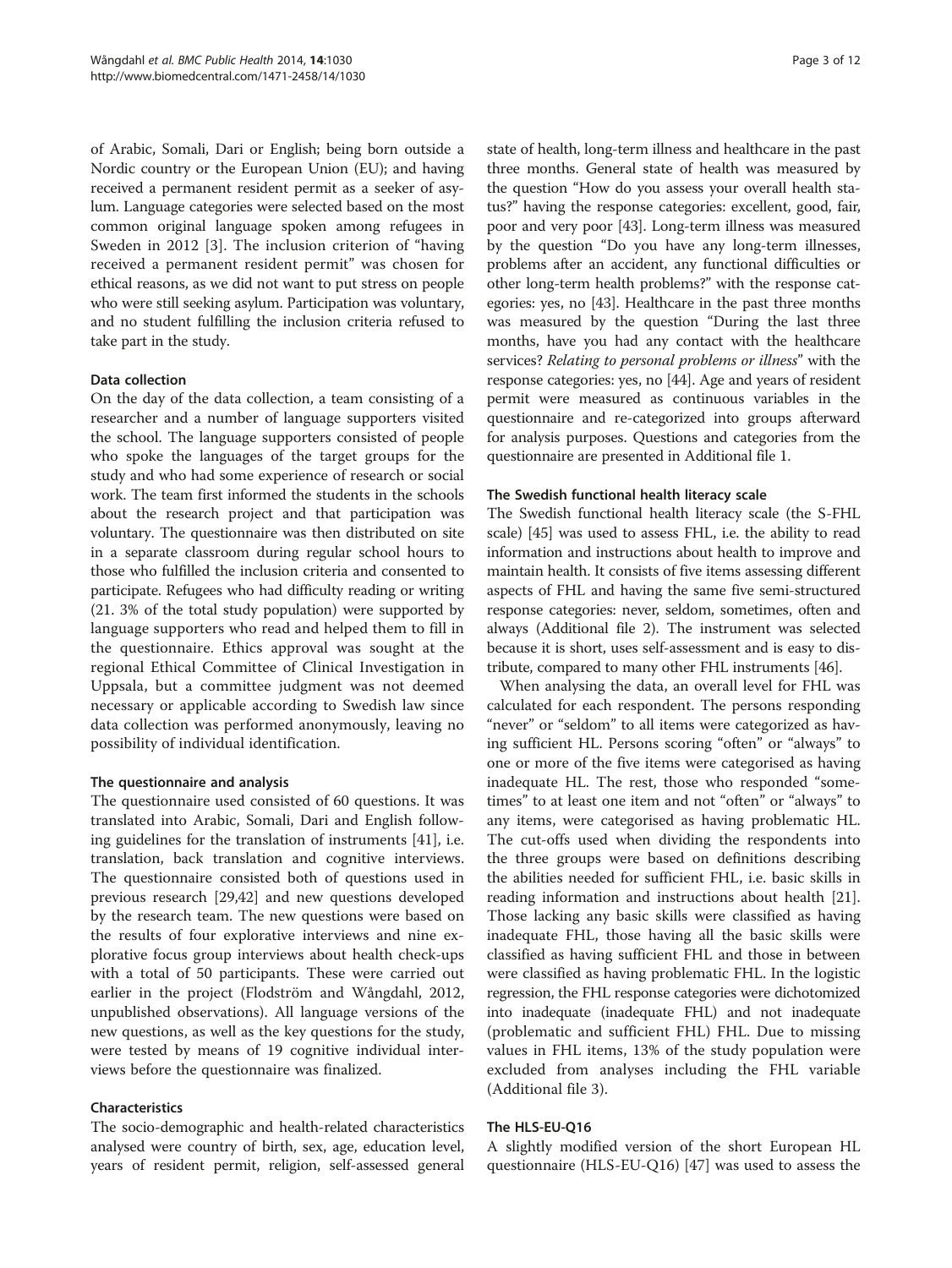of Arabic, Somali, Dari or English; being born outside a Nordic country or the European Union (EU); and having received a permanent resident permit as a seeker of asylum. Language categories were selected based on the most common original language spoken among refugees in Sweden in 2012 [[3\]](#page-9-0). The inclusion criterion of "having received a permanent resident permit" was chosen for ethical reasons, as we did not want to put stress on people who were still seeking asylum. Participation was voluntary, and no student fulfilling the inclusion criteria refused to take part in the study.

#### Data collection

On the day of the data collection, a team consisting of a researcher and a number of language supporters visited the school. The language supporters consisted of people who spoke the languages of the target groups for the study and who had some experience of research or social work. The team first informed the students in the schools about the research project and that participation was voluntary. The questionnaire was then distributed on site in a separate classroom during regular school hours to those who fulfilled the inclusion criteria and consented to participate. Refugees who had difficulty reading or writing (21. 3% of the total study population) were supported by language supporters who read and helped them to fill in the questionnaire. Ethics approval was sought at the regional Ethical Committee of Clinical Investigation in Uppsala, but a committee judgment was not deemed necessary or applicable according to Swedish law since data collection was performed anonymously, leaving no possibility of individual identification.

#### The questionnaire and analysis

The questionnaire used consisted of 60 questions. It was translated into Arabic, Somali, Dari and English following guidelines for the translation of instruments [[41\]](#page-10-0), i.e. translation, back translation and cognitive interviews. The questionnaire consisted both of questions used in previous research [\[29,42\]](#page-10-0) and new questions developed by the research team. The new questions were based on the results of four explorative interviews and nine explorative focus group interviews about health check-ups with a total of 50 participants. These were carried out earlier in the project (Flodström and Wångdahl, 2012, unpublished observations). All language versions of the new questions, as well as the key questions for the study, were tested by means of 19 cognitive individual interviews before the questionnaire was finalized.

## Characteristics

The socio-demographic and health-related characteristics analysed were country of birth, sex, age, education level, years of resident permit, religion, self-assessed general state of health, long-term illness and healthcare in the past three months. General state of health was measured by the question "How do you assess your overall health status?" having the response categories: excellent, good, fair, poor and very poor [[43](#page-10-0)]. Long-term illness was measured by the question "Do you have any long-term illnesses, problems after an accident, any functional difficulties or other long-term health problems?" with the response categories: yes, no [[43](#page-10-0)]. Healthcare in the past three months was measured by the question "During the last three months, have you had any contact with the healthcare services? Relating to personal problems or illness" with the response categories: yes, no [\[44\]](#page-10-0). Age and years of resident permit were measured as continuous variables in the questionnaire and re-categorized into groups afterward for analysis purposes. Questions and categories from the questionnaire are presented in Additional file [1.](#page-9-0)

#### The Swedish functional health literacy scale

The Swedish functional health literacy scale (the S-FHL scale) [\[45](#page-10-0)] was used to assess FHL, i.e. the ability to read information and instructions about health to improve and maintain health. It consists of five items assessing different aspects of FHL and having the same five semi-structured response categories: never, seldom, sometimes, often and always (Additional file [2](#page-9-0)). The instrument was selected because it is short, uses self-assessment and is easy to distribute, compared to many other FHL instruments [\[46\]](#page-10-0).

When analysing the data, an overall level for FHL was calculated for each respondent. The persons responding "never" or "seldom" to all items were categorized as having sufficient HL. Persons scoring "often" or "always" to one or more of the five items were categorised as having inadequate HL. The rest, those who responded "sometimes" to at least one item and not "often" or "always" to any items, were categorised as having problematic HL. The cut-offs used when dividing the respondents into the three groups were based on definitions describing the abilities needed for sufficient FHL, i.e. basic skills in reading information and instructions about health [\[21](#page-10-0)]. Those lacking any basic skills were classified as having inadequate FHL, those having all the basic skills were classified as having sufficient FHL and those in between were classified as having problematic FHL. In the logistic regression, the FHL response categories were dichotomized into inadequate (inadequate FHL) and not inadequate (problematic and sufficient FHL) FHL. Due to missing values in FHL items, 13% of the study population were excluded from analyses including the FHL variable (Additional file [3](#page-9-0)).

#### The HLS-EU-Q16

A slightly modified version of the short European HL questionnaire (HLS-EU-Q16) [\[47](#page-10-0)] was used to assess the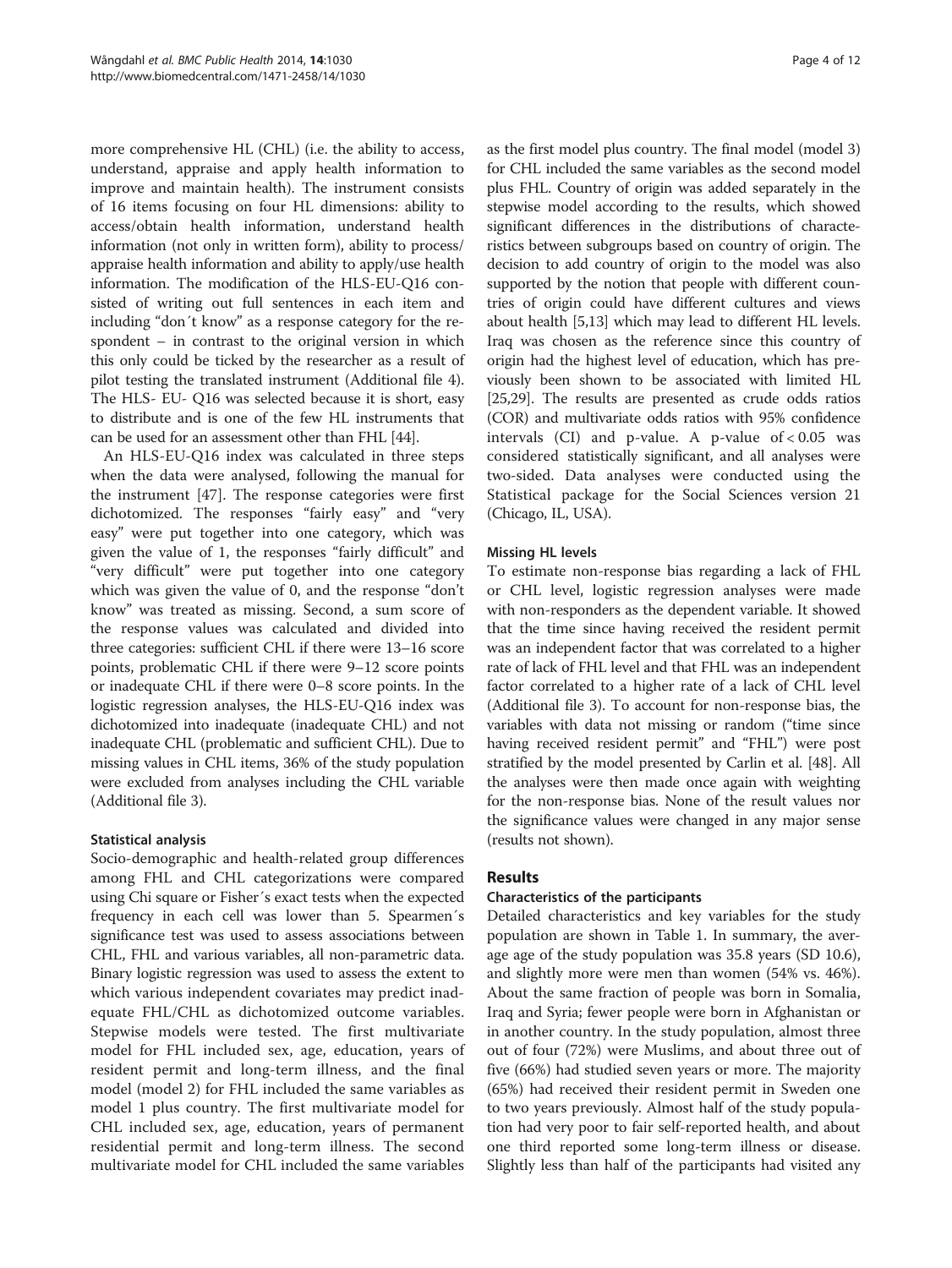more comprehensive HL (CHL) (i.e. the ability to access, understand, appraise and apply health information to improve and maintain health). The instrument consists of 16 items focusing on four HL dimensions: ability to access/obtain health information, understand health information (not only in written form), ability to process/ appraise health information and ability to apply/use health information. The modification of the HLS-EU-Q16 consisted of writing out full sentences in each item and including "don´t know" as a response category for the respondent – in contrast to the original version in which this only could be ticked by the researcher as a result of pilot testing the translated instrument (Additional file [4](#page-9-0)). The HLS- EU- Q16 was selected because it is short, easy to distribute and is one of the few HL instruments that can be used for an assessment other than FHL [[44](#page-10-0)].

An HLS-EU-Q16 index was calculated in three steps when the data were analysed, following the manual for the instrument [\[47](#page-10-0)]. The response categories were first dichotomized. The responses "fairly easy" and "very easy" were put together into one category, which was given the value of 1, the responses "fairly difficult" and "very difficult" were put together into one category which was given the value of 0, and the response "don't know" was treated as missing. Second, a sum score of the response values was calculated and divided into three categories: sufficient CHL if there were 13–16 score points, problematic CHL if there were 9–12 score points or inadequate CHL if there were 0–8 score points. In the logistic regression analyses, the HLS-EU-Q16 index was dichotomized into inadequate (inadequate CHL) and not inadequate CHL (problematic and sufficient CHL). Due to missing values in CHL items, 36% of the study population were excluded from analyses including the CHL variable (Additional file [3](#page-9-0)).

## Statistical analysis

Socio-demographic and health-related group differences among FHL and CHL categorizations were compared using Chi square or Fisher´s exact tests when the expected frequency in each cell was lower than 5. Spearmen´s significance test was used to assess associations between CHL, FHL and various variables, all non-parametric data. Binary logistic regression was used to assess the extent to which various independent covariates may predict inadequate FHL/CHL as dichotomized outcome variables. Stepwise models were tested. The first multivariate model for FHL included sex, age, education, years of resident permit and long-term illness, and the final model (model 2) for FHL included the same variables as model 1 plus country. The first multivariate model for CHL included sex, age, education, years of permanent residential permit and long-term illness. The second multivariate model for CHL included the same variables

as the first model plus country. The final model (model 3) for CHL included the same variables as the second model plus FHL. Country of origin was added separately in the stepwise model according to the results, which showed significant differences in the distributions of characteristics between subgroups based on country of origin. The decision to add country of origin to the model was also supported by the notion that people with different countries of origin could have different cultures and views about health [\[5](#page-9-0)[,13\]](#page-10-0) which may lead to different HL levels. Iraq was chosen as the reference since this country of origin had the highest level of education, which has previously been shown to be associated with limited HL [[25](#page-10-0),[29](#page-10-0)]. The results are presented as crude odds ratios (COR) and multivariate odds ratios with 95% confidence intervals (CI) and p-value. A p-value of  $< 0.05$  was considered statistically significant, and all analyses were two-sided. Data analyses were conducted using the Statistical package for the Social Sciences version 21 (Chicago, IL, USA).

#### Missing HL levels

To estimate non-response bias regarding a lack of FHL or CHL level, logistic regression analyses were made with non-responders as the dependent variable. It showed that the time since having received the resident permit was an independent factor that was correlated to a higher rate of lack of FHL level and that FHL was an independent factor correlated to a higher rate of a lack of CHL level (Additional file [3\)](#page-9-0). To account for non-response bias, the variables with data not missing or random ("time since having received resident permit" and "FHL") were post stratified by the model presented by Carlin et al. [[48](#page-10-0)]. All the analyses were then made once again with weighting for the non-response bias. None of the result values nor the significance values were changed in any major sense (results not shown).

## Results

## Characteristics of the participants

Detailed characteristics and key variables for the study population are shown in Table [1](#page-4-0). In summary, the average age of the study population was 35.8 years (SD 10.6), and slightly more were men than women (54% vs. 46%). About the same fraction of people was born in Somalia, Iraq and Syria; fewer people were born in Afghanistan or in another country. In the study population, almost three out of four (72%) were Muslims, and about three out of five (66%) had studied seven years or more. The majority (65%) had received their resident permit in Sweden one to two years previously. Almost half of the study population had very poor to fair self-reported health, and about one third reported some long-term illness or disease. Slightly less than half of the participants had visited any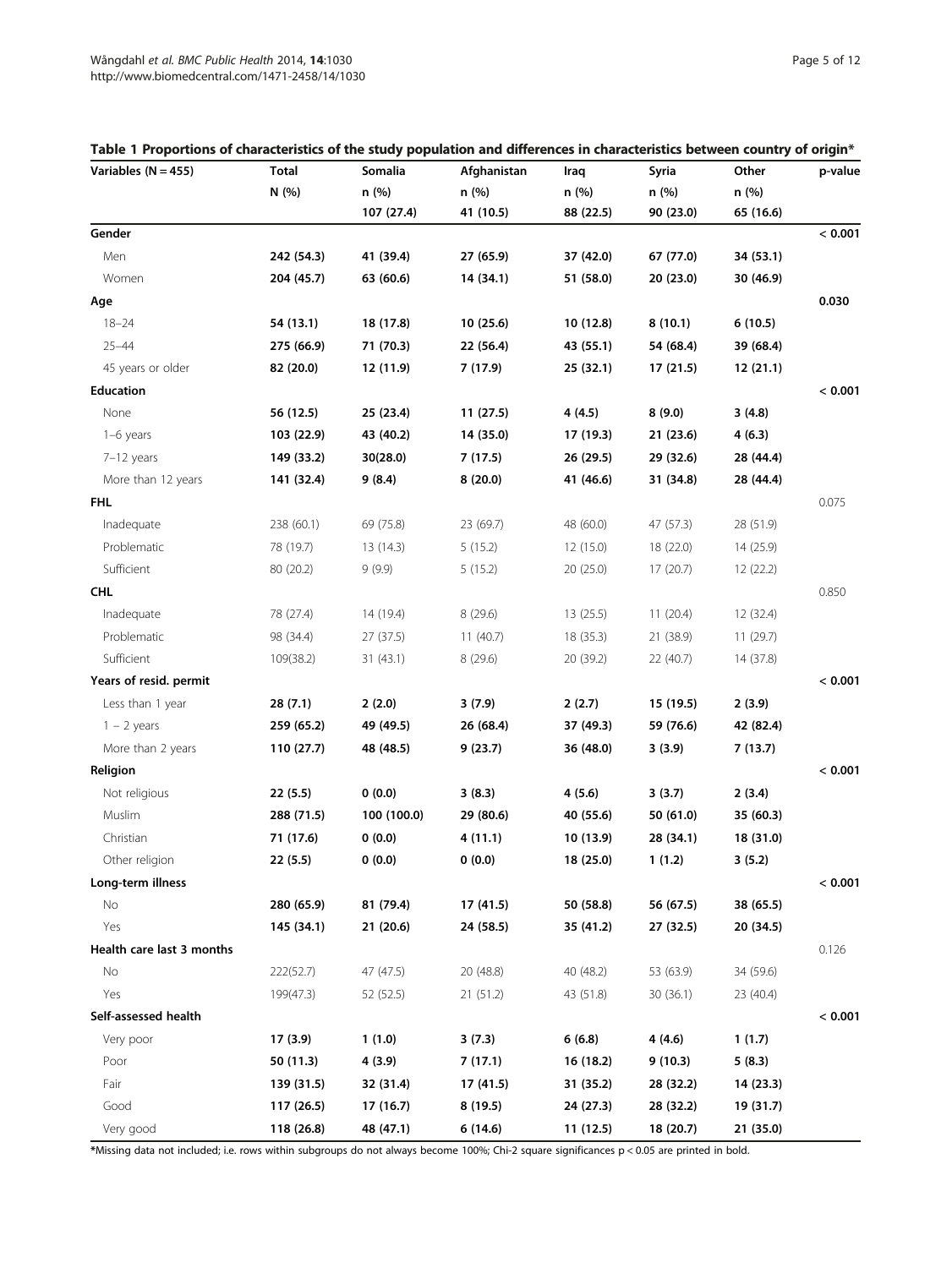| Variables ( $N = 455$ )   | <b>Total</b> | Somalia     | Afghanistan | Iraq      | Syria     | Other     | p-value |
|---------------------------|--------------|-------------|-------------|-----------|-----------|-----------|---------|
|                           | N (%)        | n (%)       | n (%)       | n (%)     | n (%)     | n (%)     |         |
|                           |              | 107 (27.4)  | 41 (10.5)   | 88 (22.5) | 90 (23.0) | 65 (16.6) |         |
| Gender                    |              |             |             |           |           |           | < 0.001 |
| Men                       | 242 (54.3)   | 41 (39.4)   | 27 (65.9)   | 37 (42.0) | 67 (77.0) | 34 (53.1) |         |
| Women                     | 204 (45.7)   | 63 (60.6)   | 14 (34.1)   | 51 (58.0) | 20 (23.0) | 30 (46.9) |         |
| Age                       |              |             |             |           |           |           | 0.030   |
| $18 - 24$                 | 54 (13.1)    | 18 (17.8)   | 10(25.6)    | 10 (12.8) | 8(10.1)   | 6(10.5)   |         |
| $25 - 44$                 | 275 (66.9)   | 71 (70.3)   | 22 (56.4)   | 43 (55.1) | 54 (68.4) | 39 (68.4) |         |
| 45 years or older         | 82 (20.0)    | 12 (11.9)   | 7 (17.9)    | 25 (32.1) | 17 (21.5) | 12(21.1)  |         |
| <b>Education</b>          |              |             |             |           |           |           | < 0.001 |
| None                      | 56 (12.5)    | 25 (23.4)   | 11(27.5)    | 4(4.5)    | 8(9.0)    | 3(4.8)    |         |
| 1-6 years                 | 103 (22.9)   | 43 (40.2)   | 14 (35.0)   | 17 (19.3) | 21 (23.6) | 4(6.3)    |         |
| 7-12 years                | 149 (33.2)   | 30(28.0)    | 7(17.5)     | 26 (29.5) | 29 (32.6) | 28 (44.4) |         |
| More than 12 years        | 141 (32.4)   | 9(8.4)      | 8(20.0)     | 41 (46.6) | 31 (34.8) | 28 (44.4) |         |
| <b>FHL</b>                |              |             |             |           |           |           | 0.075   |
| Inadequate                | 238 (60.1)   | 69 (75.8)   | 23 (69.7)   | 48 (60.0) | 47 (57.3) | 28 (51.9) |         |
| Problematic               | 78 (19.7)    | 13(14.3)    | 5(15.2)     | 12(15.0)  | 18 (22.0) | 14 (25.9) |         |
| Sufficient                | 80 (20.2)    | 9(9.9)      | 5(15.2)     | 20 (25.0) | 17(20.7)  | 12 (22.2) |         |
| <b>CHL</b>                |              |             |             |           |           |           | 0.850   |
| Inadequate                | 78 (27.4)    | 14 (19.4)   | 8 (29.6)    | 13 (25.5) | 11(20.4)  | 12 (32.4) |         |
| Problematic               | 98 (34.4)    | 27(37.5)    | 11 (40.7)   | 18 (35.3) | 21 (38.9) | 11(29.7)  |         |
| Sufficient                | 109(38.2)    | 31(43.1)    | 8 (29.6)    | 20 (39.2) | 22 (40.7) | 14 (37.8) |         |
| Years of resid. permit    |              |             |             |           |           |           | < 0.001 |
| Less than 1 year          | 28 (7.1)     | 2(2.0)      | 3(7.9)      | 2(2.7)    | 15 (19.5) | 2(3.9)    |         |
| $1 - 2$ years             | 259 (65.2)   | 49 (49.5)   | 26 (68.4)   | 37 (49.3) | 59 (76.6) | 42 (82.4) |         |
| More than 2 years         | 110 (27.7)   | 48 (48.5)   | 9(23.7)     | 36 (48.0) | 3(3.9)    | 7(13.7)   |         |
| Religion                  |              |             |             |           |           |           | < 0.001 |
| Not religious             | 22(5.5)      | 0(0.0)      | 3(8.3)      | 4(5.6)    | 3(3.7)    | 2(3.4)    |         |
| Muslim                    | 288 (71.5)   | 100 (100.0) | 29 (80.6)   | 40 (55.6) | 50 (61.0) | 35 (60.3) |         |
| Christian                 | 71 (17.6)    | 0(0.0)      | 4(11.1)     | 10 (13.9) | 28 (34.1) | 18 (31.0) |         |
| Other religion            | 22(5.5)      | 0(0.0)      | 0(0.0)      | 18 (25.0) | 1(1.2)    | 3(5.2)    |         |
| Long-term illness         |              |             |             |           |           |           | < 0.001 |
| No                        | 280 (65.9)   | 81 (79.4)   | 17 (41.5)   | 50 (58.8) | 56 (67.5) | 38 (65.5) |         |
| Yes                       | 145 (34.1)   | 21 (20.6)   | 24 (58.5)   | 35 (41.2) | 27 (32.5) | 20 (34.5) |         |
| Health care last 3 months |              |             |             |           |           |           | 0.126   |
| No                        | 222(52.7)    | 47 (47.5)   | 20 (48.8)   | 40 (48.2) | 53 (63.9) | 34 (59.6) |         |
| Yes                       | 199(47.3)    | 52 (52.5)   | 21 (51.2)   | 43 (51.8) | 30(36.1)  | 23 (40.4) |         |
| Self-assessed health      |              |             |             |           |           |           | < 0.001 |
| Very poor                 | 17(3.9)      | 1(1.0)      | 3(7.3)      | 6(6.8)    | 4(4.6)    | 1(1.7)    |         |
| Poor                      | 50 (11.3)    | 4 (3.9)     | 7(17.1)     | 16 (18.2) | 9(10.3)   | 5(8.3)    |         |
| Fair                      | 139 (31.5)   | 32 (31.4)   | 17 (41.5)   | 31 (35.2) | 28 (32.2) | 14 (23.3) |         |
| Good                      | 117 (26.5)   | 17 (16.7)   | 8 (19.5)    | 24 (27.3) | 28 (32.2) | 19 (31.7) |         |
| Very good                 | 118 (26.8)   | 48 (47.1)   | 6(14.6)     | 11(12.5)  | 18 (20.7) | 21 (35.0) |         |

<span id="page-4-0"></span>

|  |  | Table 1 Proportions of characteristics of the study population and differences in characteristics between country of origin* |
|--|--|------------------------------------------------------------------------------------------------------------------------------|
|--|--|------------------------------------------------------------------------------------------------------------------------------|

\*Missing data not included; i.e. rows within subgroups do not always become 100%; Chi-2 square significances p < 0.05 are printed in bold.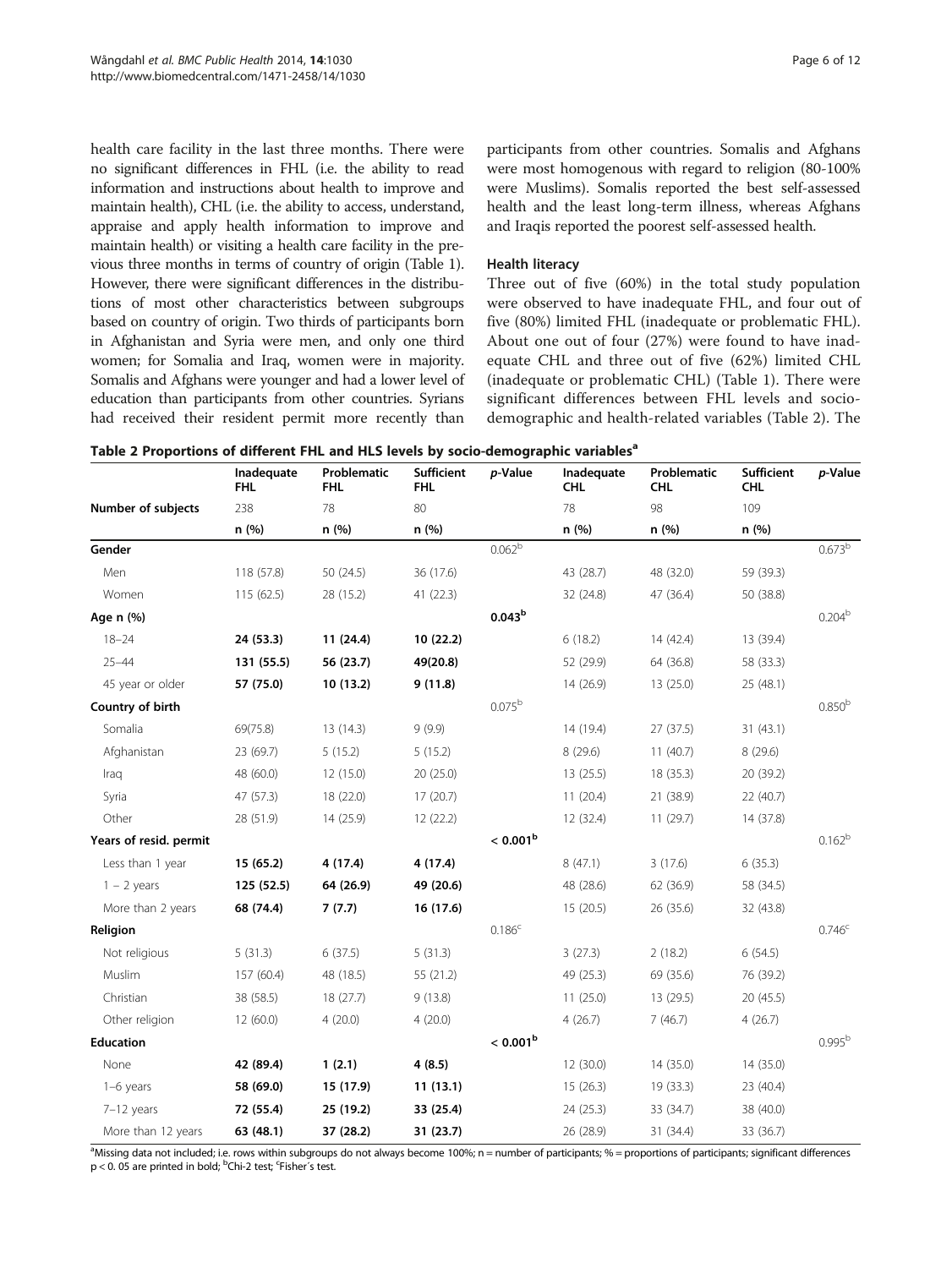<span id="page-5-0"></span>health care facility in the last three months. There were no significant differences in FHL (i.e. the ability to read information and instructions about health to improve and maintain health), CHL (i.e. the ability to access, understand, appraise and apply health information to improve and maintain health) or visiting a health care facility in the previous three months in terms of country of origin (Table [1](#page-4-0)). However, there were significant differences in the distributions of most other characteristics between subgroups based on country of origin. Two thirds of participants born in Afghanistan and Syria were men, and only one third women; for Somalia and Iraq, women were in majority. Somalis and Afghans were younger and had a lower level of education than participants from other countries. Syrians had received their resident permit more recently than

participants from other countries. Somalis and Afghans were most homogenous with regard to religion (80-100% were Muslims). Somalis reported the best self-assessed health and the least long-term illness, whereas Afghans and Iraqis reported the poorest self-assessed health.

#### Health literacy

Three out of five (60%) in the total study population were observed to have inadequate FHL, and four out of five (80%) limited FHL (inadequate or problematic FHL). About one out of four (27%) were found to have inadequate CHL and three out of five (62%) limited CHL (inadequate or problematic CHL) (Table [1](#page-4-0)). There were significant differences between FHL levels and sociodemographic and health-related variables (Table 2). The

|                        | Inadequate<br>FHL | Problematic<br><b>FHL</b> | Sufficient<br><b>FHL</b> | p-Value            | Inadequate<br><b>CHL</b> | Problematic<br><b>CHL</b> | Sufficient<br><b>CHL</b> | p-Value            |
|------------------------|-------------------|---------------------------|--------------------------|--------------------|--------------------------|---------------------------|--------------------------|--------------------|
| Number of subjects     | 238               | 78                        | 80                       |                    | 78                       | 98                        | 109                      |                    |
|                        | n (%)             | n(%)                      | n (%)                    |                    | n(%)                     | n (%)                     | n (%)                    |                    |
| Gender                 |                   |                           |                          | 0.062 <sup>b</sup> |                          |                           |                          | $0.673^b$          |
| Men                    | 118 (57.8)        | 50 (24.5)                 | 36 (17.6)                |                    | 43 (28.7)                | 48 (32.0)                 | 59 (39.3)                |                    |
| Women                  | 115 (62.5)        | 28 (15.2)                 | 41 (22.3)                |                    | 32 (24.8)                | 47 (36.4)                 | 50 (38.8)                |                    |
| Age n (%)              |                   |                           |                          | 0.043 <sup>b</sup> |                          |                           |                          | $0.204^b$          |
| $18 - 24$              | 24 (53.3)         | 11 (24.4)                 | 10 (22.2)                |                    | 6(18.2)                  | 14 (42.4)                 | 13 (39.4)                |                    |
| $25 - 44$              | 131 (55.5)        | 56 (23.7)                 | 49(20.8)                 |                    | 52 (29.9)                | 64 (36.8)                 | 58 (33.3)                |                    |
| 45 year or older       | 57 (75.0)         | 10 (13.2)                 | 9(11.8)                  |                    | 14 (26.9)                | 13 (25.0)                 | 25(48.1)                 |                    |
| Country of birth       |                   |                           |                          | 0.075 <sup>b</sup> |                          |                           |                          | 0.850 <sup>b</sup> |
| Somalia                | 69(75.8)          | 13(14.3)                  | 9(9.9)                   |                    | 14 (19.4)                | 27(37.5)                  | 31(43.1)                 |                    |
| Afghanistan            | 23 (69.7)         | 5(15.2)                   | 5(15.2)                  |                    | 8 (29.6)                 | 11(40.7)                  | 8(29.6)                  |                    |
| Iraq                   | 48 (60.0)         | 12 (15.0)                 | 20 (25.0)                |                    | 13(25.5)                 | 18 (35.3)                 | 20 (39.2)                |                    |
| Syria                  | 47 (57.3)         | 18 (22.0)                 | 17(20.7)                 |                    | 11(20.4)                 | 21 (38.9)                 | 22 (40.7)                |                    |
| Other                  | 28 (51.9)         | 14 (25.9)                 | 12 (22.2)                |                    | 12 (32.4)                | 11(29.7)                  | 14 (37.8)                |                    |
| Years of resid. permit |                   |                           |                          | $< 0.001^{\rm b}$  |                          |                           |                          | 0.162 <sup>b</sup> |
| Less than 1 year       | 15(65.2)          | 4 (17.4)                  | 4(17.4)                  |                    | 8(47.1)                  | 3(17.6)                   | 6(35.3)                  |                    |
| $1 - 2$ years          | 125 (52.5)        | 64 (26.9)                 | 49 (20.6)                |                    | 48 (28.6)                | 62 (36.9)                 | 58 (34.5)                |                    |
| More than 2 years      | 68 (74.4)         | 7(7.7)                    | 16 (17.6)                |                    | 15(20.5)                 | 26 (35.6)                 | 32 (43.8)                |                    |
| Religion               |                   |                           |                          | $0.186^{c}$        |                          |                           |                          | $0.746^c$          |
| Not religious          | 5(31.3)           | 6(37.5)                   | 5(31.3)                  |                    | 3(27.3)                  | 2(18.2)                   | 6(54.5)                  |                    |
| Muslim                 | 157 (60.4)        | 48 (18.5)                 | 55 (21.2)                |                    | 49 (25.3)                | 69 (35.6)                 | 76 (39.2)                |                    |
| Christian              | 38 (58.5)         | 18(27.7)                  | 9(13.8)                  |                    | 11(25.0)                 | 13 (29.5)                 | 20(45.5)                 |                    |
| Other religion         | 12 (60.0)         | 4(20.0)                   | 4(20.0)                  |                    | 4(26.7)                  | 7(46.7)                   | 4(26.7)                  |                    |
| <b>Education</b>       |                   |                           |                          | $< 0.001^{\rm b}$  |                          |                           |                          | 0.995 <sup>b</sup> |
| None                   | 42 (89.4)         | 1(2.1)                    | 4(8.5)                   |                    | 12 (30.0)                | 14 (35.0)                 | 14 (35.0)                |                    |
| $1-6$ years            | 58 (69.0)         | 15 (17.9)                 | 11(13.1)                 |                    | 15(26.3)                 | 19 (33.3)                 | 23 (40.4)                |                    |
| 7-12 years             | 72 (55.4)         | 25 (19.2)                 | 33 (25.4)                |                    | 24 (25.3)                | 33 (34.7)                 | 38 (40.0)                |                    |
| More than 12 years     | 63 (48.1)         | 37 (28.2)                 | 31 (23.7)                |                    | 26 (28.9)                | 31 (34.4)                 | 33 (36.7)                |                    |

a Missing data not included; i.e. rows within subgroups do not always become 100%; n = number of participants; % = proportions of participants; significant differences p < 0. 05 are printed in bold; <sup>b</sup>Chi-2 test; <sup>c</sup>Fisher's test.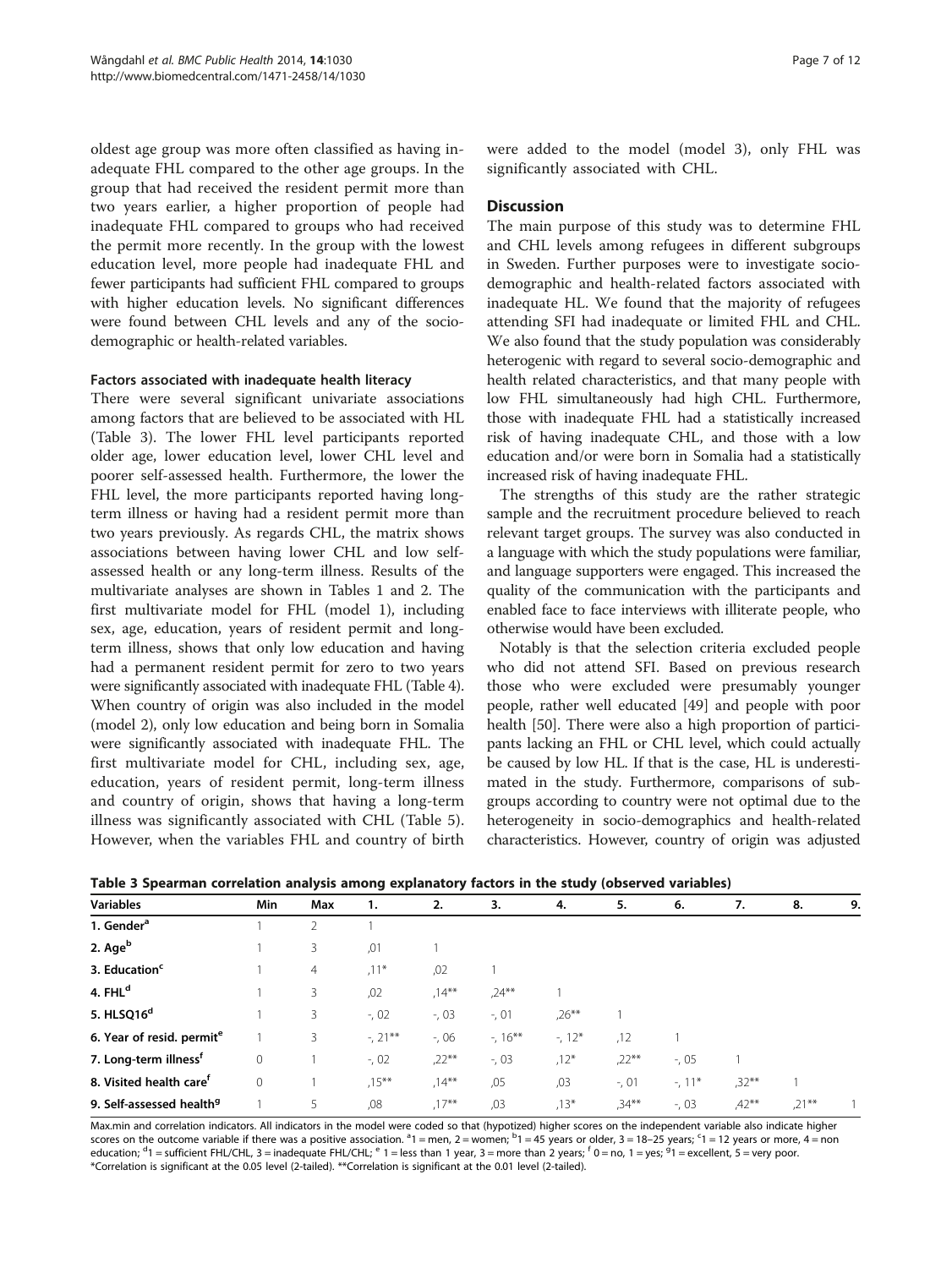oldest age group was more often classified as having inadequate FHL compared to the other age groups. In the group that had received the resident permit more than two years earlier, a higher proportion of people had inadequate FHL compared to groups who had received the permit more recently. In the group with the lowest education level, more people had inadequate FHL and fewer participants had sufficient FHL compared to groups with higher education levels. No significant differences were found between CHL levels and any of the sociodemographic or health-related variables.

#### Factors associated with inadequate health literacy

There were several significant univariate associations among factors that are believed to be associated with HL (Table 3). The lower FHL level participants reported older age, lower education level, lower CHL level and poorer self-assessed health. Furthermore, the lower the FHL level, the more participants reported having longterm illness or having had a resident permit more than two years previously. As regards CHL, the matrix shows associations between having lower CHL and low selfassessed health or any long-term illness. Results of the multivariate analyses are shown in Tables [1](#page-4-0) and [2](#page-5-0). The first multivariate model for FHL (model 1), including sex, age, education, years of resident permit and longterm illness, shows that only low education and having had a permanent resident permit for zero to two years were significantly associated with inadequate FHL (Table [4](#page-7-0)). When country of origin was also included in the model (model 2), only low education and being born in Somalia were significantly associated with inadequate FHL. The first multivariate model for CHL, including sex, age, education, years of resident permit, long-term illness and country of origin, shows that having a long-term illness was significantly associated with CHL (Table [5](#page-8-0)). However, when the variables FHL and country of birth

were added to the model (model 3), only FHL was significantly associated with CHL.

#### **Discussion**

The main purpose of this study was to determine FHL and CHL levels among refugees in different subgroups in Sweden. Further purposes were to investigate sociodemographic and health-related factors associated with inadequate HL. We found that the majority of refugees attending SFI had inadequate or limited FHL and CHL. We also found that the study population was considerably heterogenic with regard to several socio-demographic and health related characteristics, and that many people with low FHL simultaneously had high CHL. Furthermore, those with inadequate FHL had a statistically increased risk of having inadequate CHL, and those with a low education and/or were born in Somalia had a statistically increased risk of having inadequate FHL.

The strengths of this study are the rather strategic sample and the recruitment procedure believed to reach relevant target groups. The survey was also conducted in a language with which the study populations were familiar, and language supporters were engaged. This increased the quality of the communication with the participants and enabled face to face interviews with illiterate people, who otherwise would have been excluded.

Notably is that the selection criteria excluded people who did not attend SFI. Based on previous research those who were excluded were presumably younger people, rather well educated [[49](#page-10-0)] and people with poor health [[50\]](#page-10-0). There were also a high proportion of participants lacking an FHL or CHL level, which could actually be caused by low HL. If that is the case, HL is underestimated in the study. Furthermore, comparisons of subgroups according to country were not optimal due to the heterogeneity in socio-demographics and health-related characteristics. However, country of origin was adjusted

| <b>Variables</b>                      | Min | Max            | 1.       | 2.       | 3.       | 4.       | 5.       | 6.      | 7.       | 8.       | 9. |
|---------------------------------------|-----|----------------|----------|----------|----------|----------|----------|---------|----------|----------|----|
| 1. Gender <sup>a</sup>                |     | $\mathcal{P}$  |          |          |          |          |          |         |          |          |    |
| 2. Age <sup>b</sup>                   |     | 3              | ,01      |          |          |          |          |         |          |          |    |
| 3. Education <sup>c</sup>             |     | $\overline{4}$ | $,11*$   | ,02      |          |          |          |         |          |          |    |
| 4. FHL <sup>d</sup>                   |     | 3              | ,02      | $,14***$ | $,24***$ |          |          |         |          |          |    |
| 5. HLSQ16 <sup>d</sup>                |     | 3              | $-0.02$  | $-0.03$  | $-0.01$  | $,26***$ |          |         |          |          |    |
| 6. Year of resid. permit <sup>e</sup> |     | 3              | $-21**$  | $-0.06$  | $-16***$ | $-12*$   | ,12      |         |          |          |    |
| 7. Long-term illness <sup>t</sup>     | 0   |                | $-0.02$  | $,22***$ | $-0.03$  | $,12*$   | $,22***$ | $-0.05$ |          |          |    |
| 8. Visited health care <sup>f</sup>   | 0   |                | $,15***$ | $,14***$ | ,05      | ,03      | $-0.01$  | $-11*$  | $,32***$ |          |    |
| 9. Self-assessed health <sup>9</sup>  |     | 5              | ,08      | $,17***$ | ,03      | $,13*$   | $,34***$ | $-0.03$ | $.42***$ | $,21***$ |    |

Table 3 Spearman correlation analysis among explanatory factors in the study (observed variables)

Max.min and correlation indicators. All indicators in the model were coded so that (hypotized) higher scores on the independent variable also indicate higher scores on the outcome variable if there was a positive association.  ${}^{3}1 =$  men, 2 = women;  ${}^{b}1 =$  45 years or older, 3 = 18–25 years;  ${}^{c}1 =$  12 years or more, 4 = non education; <sup>d</sup>1 = sufficient FHL/CHL, 3 = inadequate FHL/CHL; <sup>e</sup> 1 = less than 1 year, 3 = more than 2 years; <sup>f</sup> 0 = no, 1 = yes; <sup>g</sup>1 = excellent, 5 = very poor \*Correlation is significant at the 0.05 level (2-tailed). \*\*Correlation is significant at the 0.01 level (2-tailed).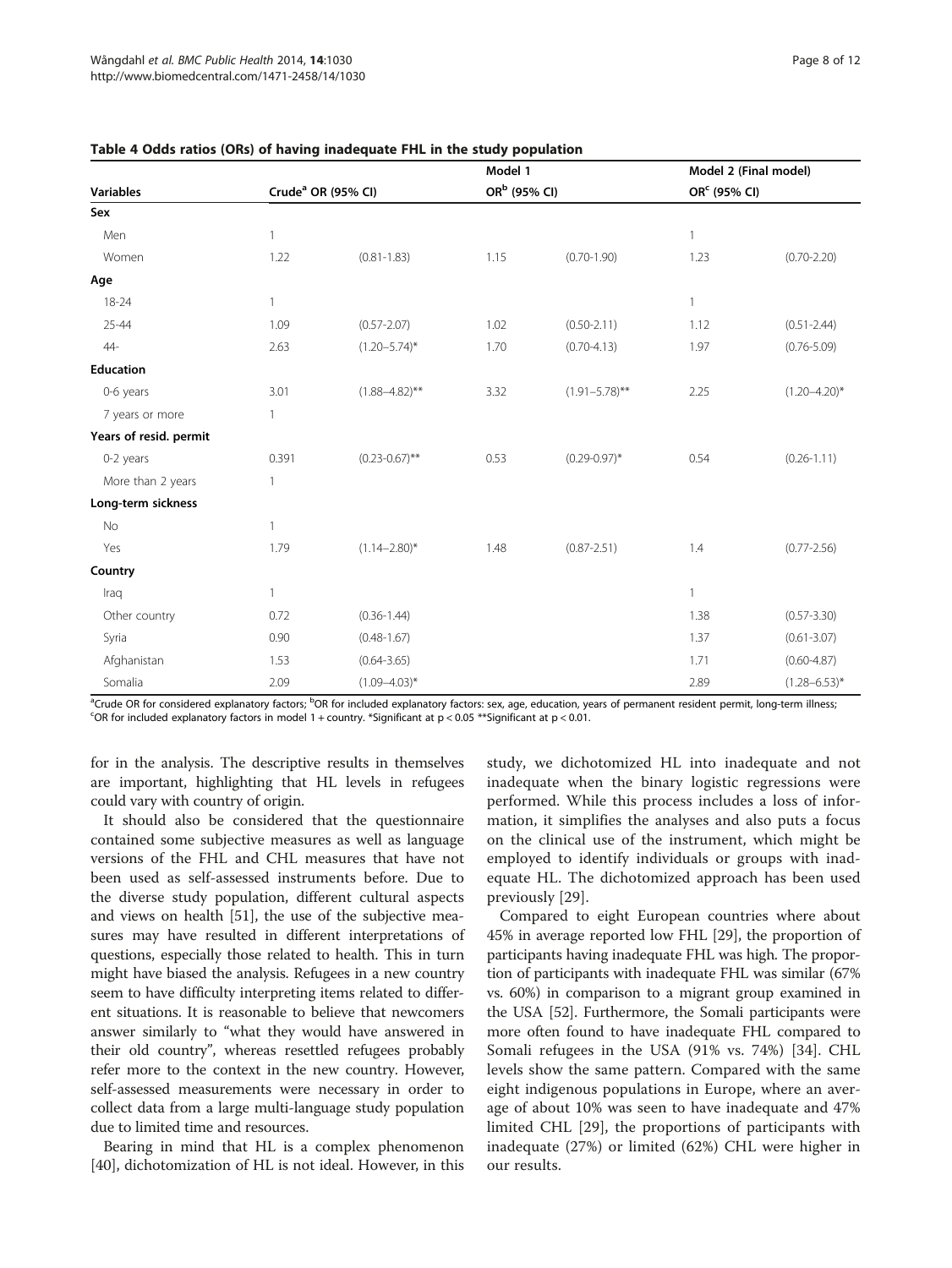|                        |                                |                    | Model 1                  |                    |                          | Model 2 (Final model) |
|------------------------|--------------------------------|--------------------|--------------------------|--------------------|--------------------------|-----------------------|
| <b>Variables</b>       | Crude <sup>a</sup> OR (95% CI) |                    | OR <sup>b</sup> (95% CI) |                    | OR <sup>c</sup> (95% CI) |                       |
| Sex                    |                                |                    |                          |                    |                          |                       |
| Men                    | 1                              |                    |                          |                    | $\mathbf{1}$             |                       |
| Women                  | 1.22                           | $(0.81 - 1.83)$    | 1.15                     | $(0.70 - 1.90)$    | 1.23                     | $(0.70 - 2.20)$       |
| Age                    |                                |                    |                          |                    |                          |                       |
| 18-24                  | 1                              |                    |                          |                    | $\mathbf{1}$             |                       |
| $25 - 44$              | 1.09                           | $(0.57 - 2.07)$    | 1.02                     | $(0.50 - 2.11)$    | 1.12                     | $(0.51 - 2.44)$       |
| $44 -$                 | 2.63                           | $(1.20 - 5.74)^*$  | 1.70                     | $(0.70 - 4.13)$    | 1.97                     | $(0.76 - 5.09)$       |
| <b>Education</b>       |                                |                    |                          |                    |                          |                       |
| 0-6 years              | 3.01                           | $(1.88 - 4.82)$ ** | 3.32                     | $(1.91 - 5.78)$ ** | 2.25                     | $(1.20 - 4.20)^*$     |
| 7 years or more        | 1                              |                    |                          |                    |                          |                       |
| Years of resid. permit |                                |                    |                          |                    |                          |                       |
| 0-2 years              | 0.391                          | $(0.23 - 0.67)$ ** | 0.53                     | $(0.29 - 0.97)^*$  | 0.54                     | $(0.26 - 1.11)$       |
| More than 2 years      | 1                              |                    |                          |                    |                          |                       |
| Long-term sickness     |                                |                    |                          |                    |                          |                       |
| No                     | 1                              |                    |                          |                    |                          |                       |
| Yes                    | 1.79                           | $(1.14 - 2.80)^*$  | 1.48                     | $(0.87 - 2.51)$    | 1.4                      | $(0.77 - 2.56)$       |
| Country                |                                |                    |                          |                    |                          |                       |
| Iraq                   | 1                              |                    |                          |                    | $\mathbf{1}$             |                       |
| Other country          | 0.72                           | $(0.36 - 1.44)$    |                          |                    | 1.38                     | $(0.57 - 3.30)$       |
| Syria                  | 0.90                           | $(0.48 - 1.67)$    |                          |                    | 1.37                     | $(0.61 - 3.07)$       |
| Afghanistan            | 1.53                           | $(0.64 - 3.65)$    |                          |                    | 1.71                     | $(0.60 - 4.87)$       |
| Somalia                | 2.09                           | $(1.09 - 4.03)^*$  |                          |                    | 2.89                     | $(1.28 - 6.53)^*$     |

<span id="page-7-0"></span>

| Table 4 Odds ratios (ORs) of having inadequate FHL in the study population |  |  |  |  |
|----------------------------------------------------------------------------|--|--|--|--|
|----------------------------------------------------------------------------|--|--|--|--|

<sup>a</sup>Crude OR for considered explanatory factors; <sup>b</sup>OR for included explanatory factors: sex, age, education, years of permanent resident permit, long-term illness;<br><sup>SOR</sup> for included explanatory factors in model 1.1 counte <sup>C</sup>OR for included explanatory factors in model 1 + country. \*Significant at  $p < 0.05$  \*\*Significant at  $p < 0.01$ .

for in the analysis. The descriptive results in themselves are important, highlighting that HL levels in refugees could vary with country of origin.

It should also be considered that the questionnaire contained some subjective measures as well as language versions of the FHL and CHL measures that have not been used as self-assessed instruments before. Due to the diverse study population, different cultural aspects and views on health [[51](#page-10-0)], the use of the subjective measures may have resulted in different interpretations of questions, especially those related to health. This in turn might have biased the analysis. Refugees in a new country seem to have difficulty interpreting items related to different situations. It is reasonable to believe that newcomers answer similarly to "what they would have answered in their old country", whereas resettled refugees probably refer more to the context in the new country. However, self-assessed measurements were necessary in order to collect data from a large multi-language study population due to limited time and resources.

Bearing in mind that HL is a complex phenomenon [[40\]](#page-10-0), dichotomization of HL is not ideal. However, in this study, we dichotomized HL into inadequate and not inadequate when the binary logistic regressions were performed. While this process includes a loss of information, it simplifies the analyses and also puts a focus on the clinical use of the instrument, which might be employed to identify individuals or groups with inadequate HL. The dichotomized approach has been used previously [\[29](#page-10-0)].

Compared to eight European countries where about 45% in average reported low FHL [[29\]](#page-10-0), the proportion of participants having inadequate FHL was high. The proportion of participants with inadequate FHL was similar (67% vs. 60%) in comparison to a migrant group examined in the USA [[52](#page-10-0)]. Furthermore, the Somali participants were more often found to have inadequate FHL compared to Somali refugees in the USA (91% vs. 74%) [[34\]](#page-10-0). CHL levels show the same pattern. Compared with the same eight indigenous populations in Europe, where an average of about 10% was seen to have inadequate and 47% limited CHL [\[29](#page-10-0)], the proportions of participants with inadequate (27%) or limited (62%) CHL were higher in our results.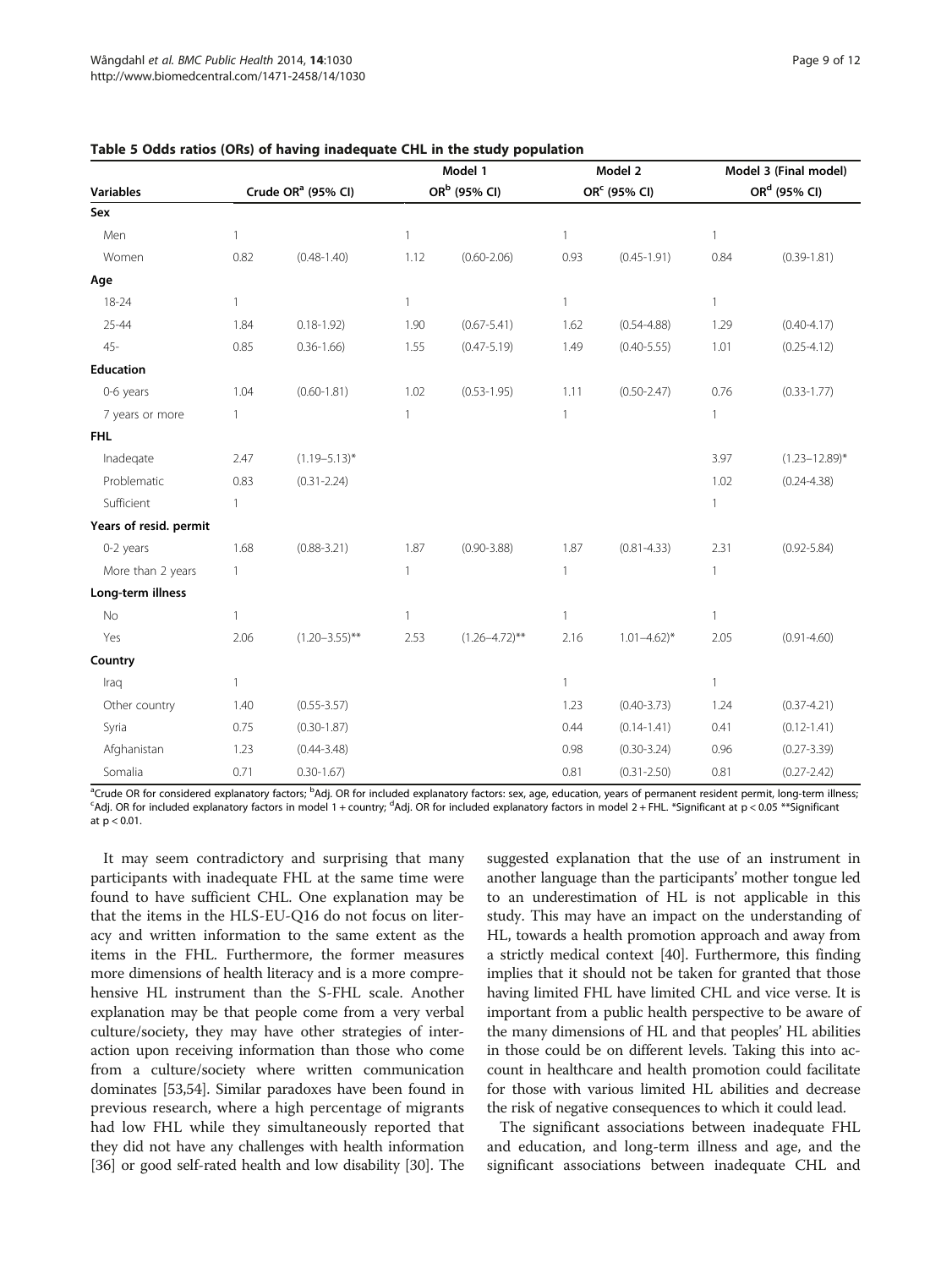|                        |              |                                |              | Model 1                  |              | Model 2                    |              | Model 3 (Final model)    |
|------------------------|--------------|--------------------------------|--------------|--------------------------|--------------|----------------------------|--------------|--------------------------|
| <b>Variables</b>       |              | Crude OR <sup>a</sup> (95% CI) |              | OR <sup>b</sup> (95% CI) |              | OR <sup>c</sup> (95% CI)   |              | OR <sup>d</sup> (95% CI) |
| Sex                    |              |                                |              |                          |              |                            |              |                          |
| Men                    | 1            |                                | $\mathbf{1}$ |                          | $\mathbf{1}$ |                            | $\mathbf{1}$ |                          |
| Women                  | 0.82         | $(0.48 - 1.40)$                | 1.12         | $(0.60 - 2.06)$          | 0.93         | $(0.45 - 1.91)$            | 0.84         | $(0.39 - 1.81)$          |
| Age                    |              |                                |              |                          |              |                            |              |                          |
| 18-24                  | $\mathbf{1}$ |                                | $\mathbf{1}$ |                          | $\mathbf{1}$ |                            | $\mathbf{1}$ |                          |
| $25 - 44$              | 1.84         | $0.18 - 1.92$                  | 1.90         | $(0.67 - 5.41)$          | 1.62         | $(0.54 - 4.88)$            | 1.29         | $(0.40 - 4.17)$          |
| $45 -$                 | 0.85         | $0.36 - 1.66$                  | 1.55         | $(0.47 - 5.19)$          | 1.49         | $(0.40 - 5.55)$            | 1.01         | $(0.25 - 4.12)$          |
| <b>Education</b>       |              |                                |              |                          |              |                            |              |                          |
| 0-6 years              | 1.04         | $(0.60 - 1.81)$                | 1.02         | $(0.53 - 1.95)$          | 1.11         | $(0.50 - 2.47)$            | 0.76         | $(0.33 - 1.77)$          |
| 7 years or more        | 1            |                                | $\mathbf{1}$ |                          | $\mathbf{1}$ |                            | $\mathbb{1}$ |                          |
| <b>FHL</b>             |              |                                |              |                          |              |                            |              |                          |
| Inadeqate              | 2.47         | $(1.19 - 5.13)^*$              |              |                          |              |                            | 3.97         | $(1.23 - 12.89)^*$       |
| Problematic            | 0.83         | $(0.31 - 2.24)$                |              |                          |              |                            | 1.02         | $(0.24 - 4.38)$          |
| Sufficient             | 1            |                                |              |                          |              |                            | $\mathbf{1}$ |                          |
| Years of resid. permit |              |                                |              |                          |              |                            |              |                          |
| 0-2 years              | 1.68         | $(0.88 - 3.21)$                | 1.87         | $(0.90 - 3.88)$          | 1.87         | $(0.81 - 4.33)$            | 2.31         | $(0.92 - 5.84)$          |
| More than 2 years      | $\mathbf{1}$ |                                | $\mathbf{1}$ |                          | $\mathbf{1}$ |                            | $\mathbb{1}$ |                          |
| Long-term illness      |              |                                |              |                          |              |                            |              |                          |
| <b>No</b>              | $\mathbf{1}$ |                                | $\mathbf{1}$ |                          | $\mathbf{1}$ |                            | $\mathbf{1}$ |                          |
| Yes                    | 2.06         | $(1.20 - 3.55)$ **             | 2.53         | $(1.26 - 4.72)$ **       | 2.16         | $1.01 - 4.62$ <sup>*</sup> | 2.05         | $(0.91 - 4.60)$          |
| Country                |              |                                |              |                          |              |                            |              |                          |
| Iraq                   | $\mathbf{1}$ |                                |              |                          | $\mathbf{1}$ |                            | $\mathbf{1}$ |                          |
| Other country          | 1.40         | $(0.55 - 3.57)$                |              |                          | 1.23         | $(0.40 - 3.73)$            | 1.24         | $(0.37 - 4.21)$          |
| Syria                  | 0.75         | $(0.30 - 1.87)$                |              |                          | 0.44         | $(0.14 - 1.41)$            | 0.41         | $(0.12 - 1.41)$          |
| Afghanistan            | 1.23         | $(0.44 - 3.48)$                |              |                          | 0.98         | $(0.30 - 3.24)$            | 0.96         | $(0.27 - 3.39)$          |
| Somalia                | 0.71         | $0.30 - 1.67$                  |              |                          | 0.81         | $(0.31 - 2.50)$            | 0.81         | $(0.27 - 2.42)$          |

#### <span id="page-8-0"></span>Table 5 Odds ratios (ORs) of having inadequate CHL in the study population

<sup>a</sup>Crude OR for considered explanatory factors; <sup>b</sup>Adj. OR for included explanatory factors: sex, age, education, years of permanent resident permit, long-term illness;<br>SAdi. OR for included explanatory factors in model 1+ Adj. OR for included explanatory factors in model 1 + country; <sup>d</sup>Adj. OR for included explanatory factors in model 2 + FHL. \*Significant at p < 0.05 \*\*Significant at  $p < 0.01$ .

It may seem contradictory and surprising that many participants with inadequate FHL at the same time were found to have sufficient CHL. One explanation may be that the items in the HLS-EU-Q16 do not focus on literacy and written information to the same extent as the items in the FHL. Furthermore, the former measures more dimensions of health literacy and is a more comprehensive HL instrument than the S-FHL scale. Another explanation may be that people come from a very verbal culture/society, they may have other strategies of interaction upon receiving information than those who come from a culture/society where written communication dominates [[53,54](#page-10-0)]. Similar paradoxes have been found in previous research, where a high percentage of migrants had low FHL while they simultaneously reported that they did not have any challenges with health information [[36](#page-10-0)] or good self-rated health and low disability [\[30](#page-10-0)]. The

suggested explanation that the use of an instrument in another language than the participants' mother tongue led to an underestimation of HL is not applicable in this study. This may have an impact on the understanding of HL, towards a health promotion approach and away from a strictly medical context [\[40\]](#page-10-0). Furthermore, this finding implies that it should not be taken for granted that those having limited FHL have limited CHL and vice verse. It is important from a public health perspective to be aware of the many dimensions of HL and that peoples' HL abilities in those could be on different levels. Taking this into account in healthcare and health promotion could facilitate for those with various limited HL abilities and decrease the risk of negative consequences to which it could lead.

The significant associations between inadequate FHL and education, and long-term illness and age, and the significant associations between inadequate CHL and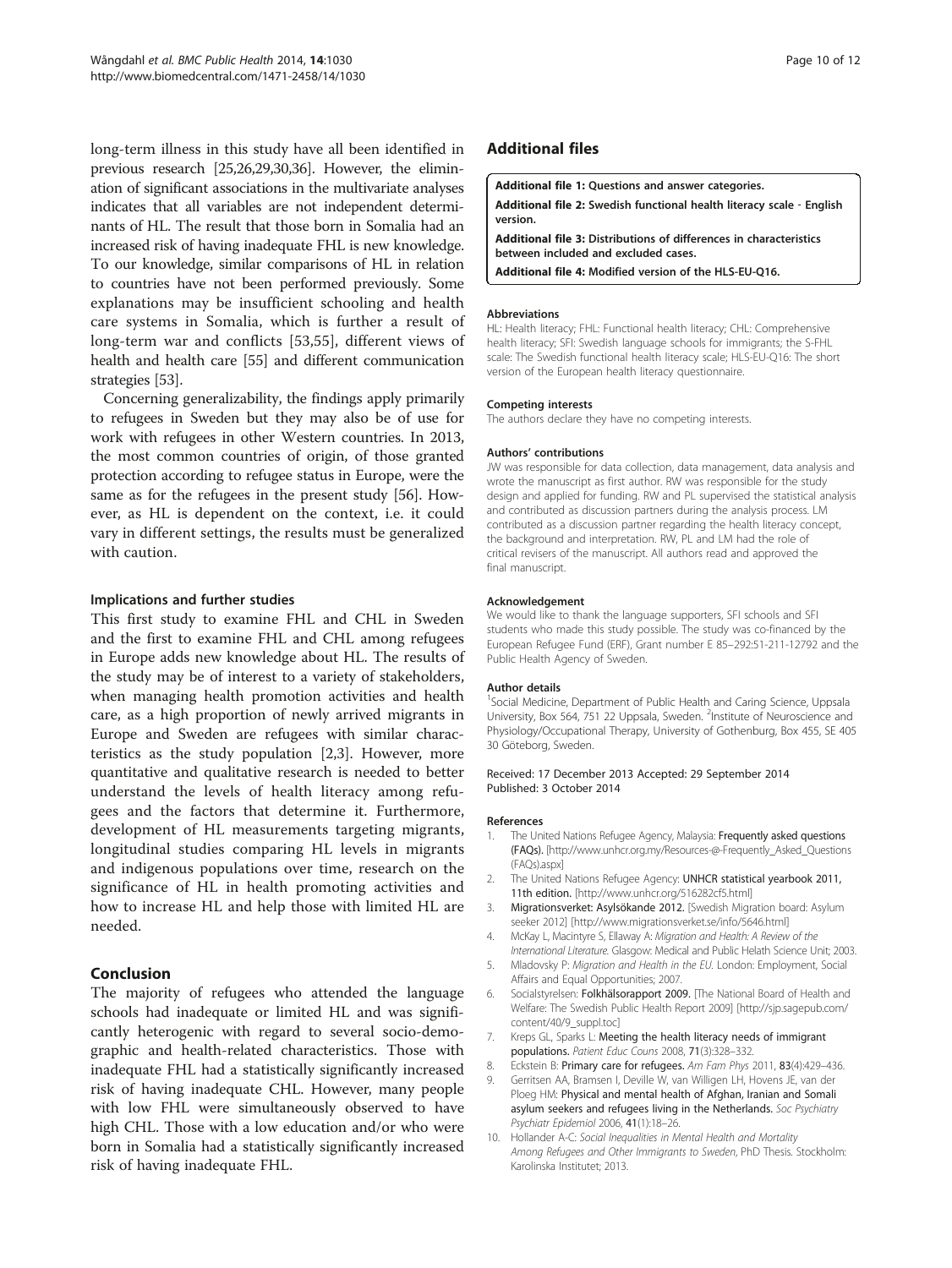<span id="page-9-0"></span>long-term illness in this study have all been identified in previous research [[25,26,29,30,36](#page-10-0)]. However, the elimination of significant associations in the multivariate analyses indicates that all variables are not independent determinants of HL. The result that those born in Somalia had an increased risk of having inadequate FHL is new knowledge. To our knowledge, similar comparisons of HL in relation to countries have not been performed previously. Some explanations may be insufficient schooling and health care systems in Somalia, which is further a result of long-term war and conflicts [\[53](#page-10-0)[,55](#page-11-0)], different views of health and health care [\[55\]](#page-11-0) and different communication strategies [[53](#page-10-0)].

Concerning generalizability, the findings apply primarily to refugees in Sweden but they may also be of use for work with refugees in other Western countries. In 2013, the most common countries of origin, of those granted protection according to refugee status in Europe, were the same as for the refugees in the present study [\[56\]](#page-11-0). However, as HL is dependent on the context, i.e. it could vary in different settings, the results must be generalized with caution.

#### Implications and further studies

This first study to examine FHL and CHL in Sweden and the first to examine FHL and CHL among refugees in Europe adds new knowledge about HL. The results of the study may be of interest to a variety of stakeholders, when managing health promotion activities and health care, as a high proportion of newly arrived migrants in Europe and Sweden are refugees with similar characteristics as the study population [2,3]. However, more quantitative and qualitative research is needed to better understand the levels of health literacy among refugees and the factors that determine it. Furthermore, development of HL measurements targeting migrants, longitudinal studies comparing HL levels in migrants and indigenous populations over time, research on the significance of HL in health promoting activities and how to increase HL and help those with limited HL are needed.

## Conclusion

The majority of refugees who attended the language schools had inadequate or limited HL and was significantly heterogenic with regard to several socio-demographic and health-related characteristics. Those with inadequate FHL had a statistically significantly increased risk of having inadequate CHL. However, many people with low FHL were simultaneously observed to have high CHL. Those with a low education and/or who were born in Somalia had a statistically significantly increased risk of having inadequate FHL.

## Additional files

[Additional file 1:](http://www.biomedcentral.com/content/supplementary/1471-2458-14-1030-S1.docx) Questions and answer categories. [Additional file 2:](http://www.biomedcentral.com/content/supplementary/1471-2458-14-1030-S2.docx) Swedish functional health literacy scale ‐ English version. [Additional file 3:](http://www.biomedcentral.com/content/supplementary/1471-2458-14-1030-S3.docx) Distributions of differences in characteristics between included and excluded cases.

[Additional file 4:](http://www.biomedcentral.com/content/supplementary/1471-2458-14-1030-S4.doc) Modified version of the HLS-EU-Q16.

#### Abbreviations

HL: Health literacy; FHL: Functional health literacy; CHL: Comprehensive health literacy; SFI: Swedish language schools for immigrants; the S-FHL scale: The Swedish functional health literacy scale; HLS-EU-Q16: The short version of the European health literacy questionnaire.

#### Competing interests

The authors declare they have no competing interests.

#### Authors' contributions

JW was responsible for data collection, data management, data analysis and wrote the manuscript as first author. RW was responsible for the study design and applied for funding. RW and PL supervised the statistical analysis and contributed as discussion partners during the analysis process. LM contributed as a discussion partner regarding the health literacy concept, the background and interpretation. RW, PL and LM had the role of critical revisers of the manuscript. All authors read and approved the final manuscript.

#### Acknowledgement

We would like to thank the language supporters, SFI schools and SFI students who made this study possible. The study was co-financed by the European Refugee Fund (ERF), Grant number E 85–292:51-211-12792 and the Public Health Agency of Sweden.

#### Author details

<sup>1</sup>Social Medicine, Department of Public Health and Caring Science, Uppsala University, Box 564, 751 22 Uppsala, Sweden. <sup>2</sup>Institute of Neuroscience and Physiology/Occupational Therapy, University of Gothenburg, Box 455, SE 405 30 Göteborg, Sweden.

Received: 17 December 2013 Accepted: 29 September 2014 Published: 3 October 2014

#### References

- 1. The United Nations Refugee Agency, Malaysia: Frequently asked questions (FAQs). [[http://www.unhcr.org.my/Resources-@-Frequently\\_Asked\\_Questions](http://www.unhcr.org.my/Resources-@-Frequently_Asked_Questions(FAQs).aspx) [\(FAQs\).aspx](http://www.unhcr.org.my/Resources-@-Frequently_Asked_Questions(FAQs).aspx)]
- 2. The United Nations Refugee Agency: UNHCR statistical yearbook 2011, 11th edition. [<http://www.unhcr.org/516282cf5.html>]
- 3. Migrationsverket: Asylsökande 2012. [Swedish Migration board: Asylum seeker 2012] [\[http://www.migrationsverket.se/info/5646.html](http://www.migrationsverket.se/info/5646.html)]
- 4. McKay L, Macintyre S, Ellaway A: Migration and Health: A Review of the International Literature. Glasgow: Medical and Public Helath Science Unit; 2003.
- 5. Mladovsky P: Migration and Health in the EU. London: Employment, Social Affairs and Equal Opportunities; 2007.
- 6. Socialstyrelsen: Folkhälsorapport 2009. [The National Board of Health and Welfare: The Swedish Public Health Report 2009] [[http://sjp.sagepub.com/](http://sjp.sagepub.com/content/40/9_suppl.toc) [content/40/9\\_suppl.toc](http://sjp.sagepub.com/content/40/9_suppl.toc)]
- 7. Kreps GL, Sparks L: Meeting the health literacy needs of immigrant populations. Patient Educ Couns 2008, 71(3):328–332.
- 8. Eckstein B: Primary care for refugees. Am Fam Phys 2011, 83(4):429-436.
- 9. Gerritsen AA, Bramsen I, Deville W, van Willigen LH, Hovens JE, van der Ploeg HM: Physical and mental health of Afghan, Iranian and Somali asylum seekers and refugees living in the Netherlands. Soc Psychiatry Psychiatr Epidemiol 2006, 41(1):18–26.
- 10. Hollander A-C: Social Inequalities in Mental Health and Mortality Among Refugees and Other Immigrants to Sweden, PhD Thesis. Stockholm: Karolinska Institutet; 2013.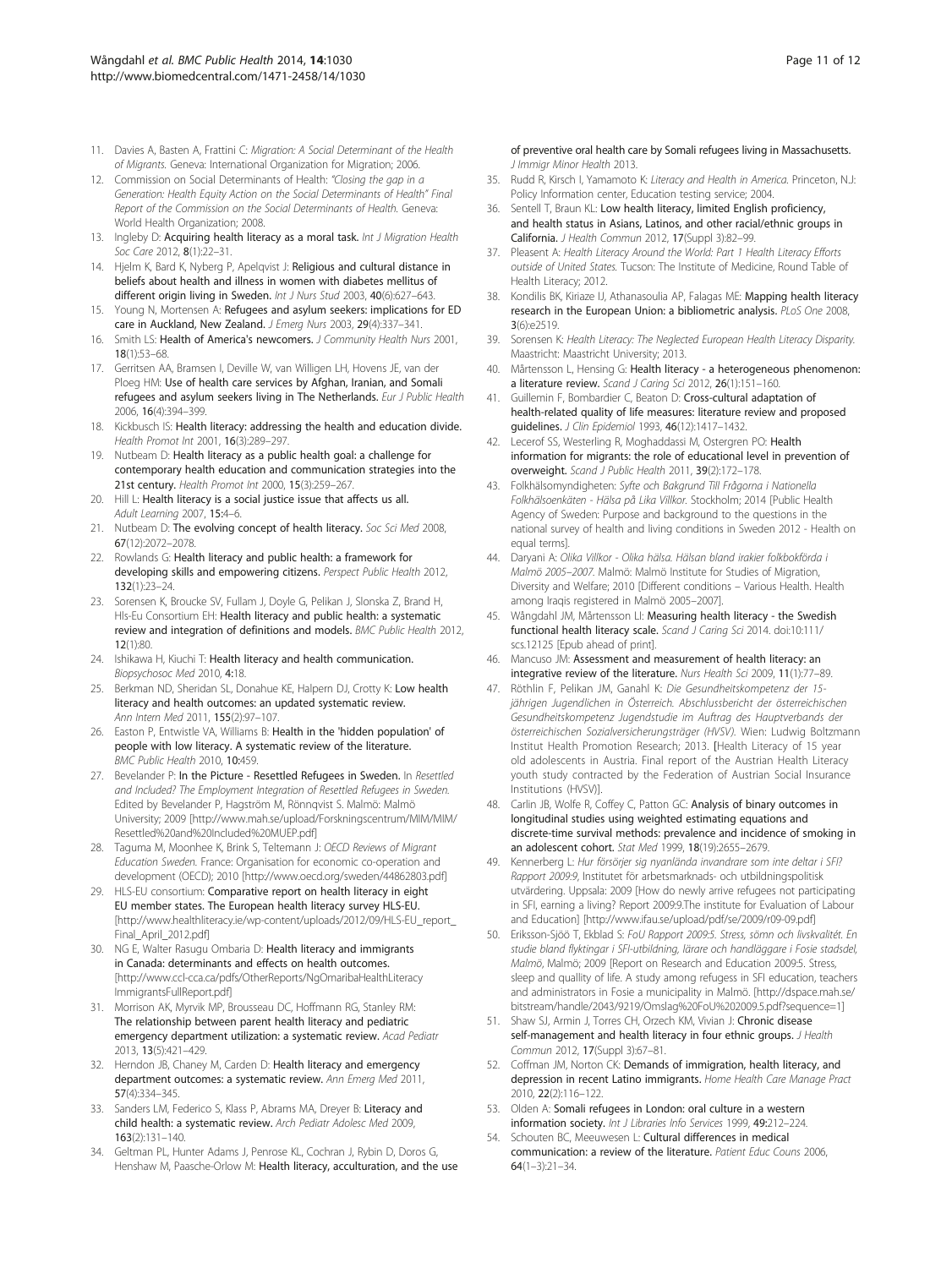- <span id="page-10-0"></span>11. Davies A, Basten A, Frattini C: Migration: A Social Determinant of the Health of Migrants. Geneva: International Organization for Migration; 2006.
- 12. Commission on Social Determinants of Health: "Closing the gap in a Generation: Health Equity Action on the Social Determinants of Health" Final Report of the Commission on the Social Determinants of Health. Geneva: World Health Organization; 2008.
- 13. Ingleby D: Acquiring health literacy as a moral task. Int J Migration Health Soc Care 2012, 8(1):22–31.
- 14. Hjelm K, Bard K, Nyberg P, Apelgvist J: Religious and cultural distance in beliefs about health and illness in women with diabetes mellitus of different origin living in Sweden. Int J Nurs Stud 2003, 40(6):627–643.
- 15. Young N, Mortensen A: Refugees and asylum seekers: implications for ED care in Auckland, New Zealand. J Emerg Nurs 2003, 29(4):337–341.
- 16. Smith LS: Health of America's newcomers. J Community Health Nurs 2001, 18(1):53–68.
- 17. Gerritsen AA, Bramsen I, Deville W, van Willigen LH, Hovens JE, van der Ploeg HM: Use of health care services by Afghan, Iranian, and Somali refugees and asylum seekers living in The Netherlands. Eur J Public Health 2006, 16(4):394–399.
- 18. Kickbusch IS: Health literacy: addressing the health and education divide. Health Promot Int 2001, 16(3):289–297.
- 19. Nutbeam D: Health literacy as a public health goal: a challenge for contemporary health education and communication strategies into the 21st century. Health Promot Int 2000, 15(3):259–267.
- 20. Hill L: Health literacy is a social justice issue that affects us all. Adult Learning 2007, 15:4–6.
- 21. Nutbeam D: The evolving concept of health literacy. Soc Sci Med 2008, 67(12):2072–2078.
- 22. Rowlands G: Health literacy and public health: a framework for developing skills and empowering citizens. Perspect Public Health 2012, 132(1):23–24.
- 23. Sorensen K, Broucke SV, Fullam J, Doyle G, Pelikan J, Slonska Z, Brand H, Hls-Eu Consortium EH: Health literacy and public health: a systematic review and integration of definitions and models. BMC Public Health 2012, 12(1):80.
- 24. Ishikawa H, Kiuchi T: Health literacy and health communication. Biopsychosoc Med 2010, 4:18.
- 25. Berkman ND, Sheridan SL, Donahue KE, Halpern DJ, Crotty K: Low health literacy and health outcomes: an updated systematic review. Ann Intern Med 2011, 155(2):97–107.
- 26. Easton P, Entwistle VA, Williams B: Health in the 'hidden population' of people with low literacy. A systematic review of the literature. BMC Public Health 2010, 10:459.
- 27. Bevelander P: In the Picture Resettled Refugees in Sweden. In Resettled and Included? The Employment Integration of Resettled Refugees in Sweden. Edited by Bevelander P, Hagström M, Rönnqvist S. Malmö: Malmö University; 2009 [\[http://www.mah.se/upload/Forskningscentrum/MIM/MIM/](http://www.mah.se/upload/Forskningscentrum/MIM/MIM/Resettled%20and%20Included%20MUEP.pdf) [Resettled%20and%20Included%20MUEP.pdf\]](http://www.mah.se/upload/Forskningscentrum/MIM/MIM/Resettled%20and%20Included%20MUEP.pdf)
- 28. Taguma M, Moonhee K, Brink S, Teltemann J: OECD Reviews of Migrant Education Sweden. France: Organisation for economic co-operation and development (OECD); 2010 [\[http://www.oecd.org/sweden/44862803.pdf\]](http://www.oecd.org/sweden/44862803.pdf)
- 29. HLS-EU consortium: Comparative report on health literacy in eight EU member states. The European health literacy survey HLS-EU. [[http://www.healthliteracy.ie/wp-content/uploads/2012/09/HLS-EU\\_report\\_](http://www.healthliteracy.ie/wp-content/uploads/2012/09/HLS-EU_report_Final_April_2012.pdf) [Final\\_April\\_2012.pdf](http://www.healthliteracy.ie/wp-content/uploads/2012/09/HLS-EU_report_Final_April_2012.pdf)]
- 30. NG E, Walter Rasugu Ombaria D: Health literacy and immigrants in Canada: determinants and effects on health outcomes. [[http://www.ccl-cca.ca/pdfs/OtherReports/NgOmaribaHealthLiteracy](http://www.ccl-cca.ca/pdfs/OtherReports/NgOmaribaHealthLiteracyImmigrantsFullReport.pdf) [ImmigrantsFullReport.pdf](http://www.ccl-cca.ca/pdfs/OtherReports/NgOmaribaHealthLiteracyImmigrantsFullReport.pdf)]
- 31. Morrison AK, Myrvik MP, Brousseau DC, Hoffmann RG, Stanley RM: The relationship between parent health literacy and pediatric emergency department utilization: a systematic review. Acad Pediatr 2013, 13(5):421–429.
- 32. Herndon JB, Chaney M, Carden D: Health literacy and emergency department outcomes: a systematic review. Ann Emerg Med 2011, 57(4):334–345.
- 33. Sanders LM, Federico S, Klass P, Abrams MA, Dreyer B: Literacy and child health: a systematic review. Arch Pediatr Adolesc Med 2009, 163(2):131–140.
- 34. Geltman PL, Hunter Adams J, Penrose KL, Cochran J, Rybin D, Doros G, Henshaw M, Paasche-Orlow M: Health literacy, acculturation, and the use

of preventive oral health care by Somali refugees living in Massachusetts. J Immigr Minor Health 2013.

- 35. Rudd R, Kirsch I, Yamamoto K: Literacy and Health in America. Princeton, N.J: Policy Information center, Education testing service; 2004.
- 36. Sentell T, Braun KL: Low health literacy, limited English proficiency, and health status in Asians, Latinos, and other racial/ethnic groups in California. J Health Commun 2012, 17(Suppl 3):82–99.
- 37. Pleasent A: Health Literacy Around the World: Part 1 Health Literacy Efforts outside of United States. Tucson: The Institute of Medicine, Round Table of Health Literacy; 2012.
- 38. Kondilis BK, Kiriaze IJ, Athanasoulia AP, Falagas ME: Mapping health literacy research in the European Union: a bibliometric analysis. PLoS One 2008, 3(6):e2519.
- 39. Sorensen K: Health Literacy: The Neglected European Health Literacy Disparity. Maastricht: Maastricht University; 2013.
- 40. Mårtensson L, Hensing G: Health literacy a heterogeneous phenomenon: a literature review. Scand J Caring Sci 2012, 26(1):151-160.
- 41. Guillemin F, Bombardier C, Beaton D: Cross-cultural adaptation of health-related quality of life measures: literature review and proposed guidelines. J Clin Epidemiol 1993, 46(12):1417–1432.
- 42. Lecerof SS, Westerling R, Moghaddassi M, Ostergren PO: Health information for migrants: the role of educational level in prevention of overweight. Scand J Public Health 2011, 39(2):172–178.
- 43. Folkhälsomyndigheten: Syfte och Bakgrund Till Frågorna i Nationella Folkhälsoenkäten - Hälsa på Lika Villkor. Stockholm; 2014 [Public Health Agency of Sweden: Purpose and background to the questions in the national survey of health and living conditions in Sweden 2012 - Health on equal terms].
- 44. Daryani A: Olika Villkor Olika hälsa. Hälsan bland irakier folkbokförda i Malmö 2005–2007. Malmö: Malmö Institute for Studies of Migration, Diversity and Welfare; 2010 [Different conditions – Various Health. Health among Iraqis registered in Malmö 2005–2007].
- 45. Wångdahl JM, Mårtensson LI: Measuring health literacy the Swedish functional health literacy scale. Scand J Caring Sci 2014. doi:10:111/ scs.12125 [Epub ahead of print].
- 46. Mancuso JM: Assessment and measurement of health literacy: an integrative review of the literature. Nurs Health Sci 2009, 11(1):77–89.
- 47. Röthlin F, Pelikan JM, Ganahl K: Die Gesundheitskompetenz der 15 jährigen Jugendlichen in Österreich. Abschlussbericht der österreichischen Gesundheitskompetenz Jugendstudie im Auftrag des Hauptverbands der österreichischen Sozialversicherungsträger (HVSV). Wien: Ludwig Boltzmann Institut Health Promotion Research; 2013. [Health Literacy of 15 year old adolescents in Austria. Final report of the Austrian Health Literacy youth study contracted by the Federation of Austrian Social Insurance Institutions (HVSV)].
- 48. Carlin JB, Wolfe R, Coffey C, Patton GC: Analysis of binary outcomes in longitudinal studies using weighted estimating equations and discrete-time survival methods: prevalence and incidence of smoking in an adolescent cohort. Stat Med 1999, 18(19):2655–2679.
- 49. Kennerberg L: Hur försörjer sig nyanlända invandrare som inte deltar i SFI? Rapport 2009:9, Institutet för arbetsmarknads- och utbildningspolitisk utvärdering. Uppsala: 2009 [How do newly arrive refugees not participating in SFI, earning a living? Report 2009:9.The institute for Evaluation of Labour and Education] [[http://www.ifau.se/upload/pdf/se/2009/r09-09.pdf\]](http://www.ifau.se/upload/pdf/se/2009/r09-09.pdf)
- 50. Eriksson-Sjöö T, Ekblad S: FoU Rapport 2009:5. Stress, sömn och livskvalitét. En studie bland flyktingar i SFI-utbildning, lärare och handläggare i Fosie stadsdel, Malmö, Malmö; 2009 [Report on Research and Education 2009:5. Stress, sleep and quallity of life. A study among refugess in SFI education, teachers and administrators in Fosie a municipality in Malmö. [[http://dspace.mah.se/](http://dspace.mah.se/bitstream/handle/2043/9219/Omslag%20FoU%202009.5.pdf?sequence=1) [bitstream/handle/2043/9219/Omslag%20FoU%202009.5.pdf?sequence=1\]](http://dspace.mah.se/bitstream/handle/2043/9219/Omslag%20FoU%202009.5.pdf?sequence=1)
- 51. Shaw SJ, Armin J, Torres CH, Orzech KM, Vivian J: Chronic disease self-management and health literacy in four ethnic groups. J Health Commun 2012, 17(Suppl 3):67–81.
- 52. Coffman JM, Norton CK: Demands of immigration, health literacy, and depression in recent Latino immigrants. Home Health Care Manage Pract 2010, 22(2):116–122.
- 53. Olden A: Somali refugees in London: oral culture in a western information society. Int J Libraries Info Services 1999, 49:212-224.
- 54. Schouten BC, Meeuwesen L: Cultural differences in medical communication: a review of the literature. Patient Educ Couns 2006, 64(1–3):21–34.